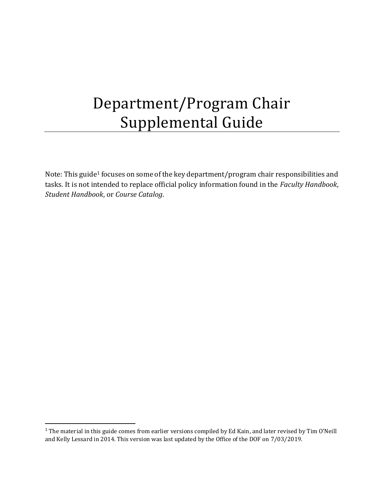# Department/Program Chair Supplemental Guide

Note: This guide<sup>1</sup> focuses on some of the key department/program chair responsibilities and tasks. It is not intended to replace official policy information found in the *Faculty Handbook*, *Student Handbook*, or *Course Catalog*.

<sup>&</sup>lt;sup>1</sup> The material in this guide comes from earlier versions compiled by Ed Kain, and later revised by Tim O'Neill and Kelly Lessard in 2014. This version was last updated by the Office of the DOF on 7/03/2019.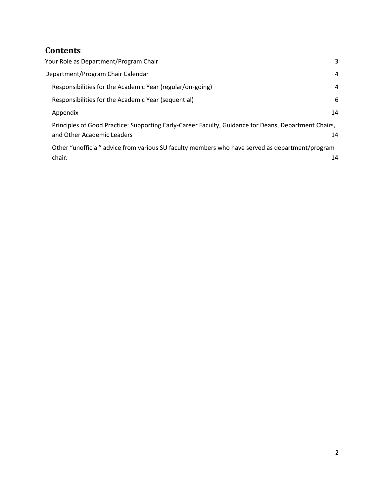# **Contents**

| Your Role as Department/Program Chair                                                                                              | 3  |
|------------------------------------------------------------------------------------------------------------------------------------|----|
| Department/Program Chair Calendar                                                                                                  | 4  |
| Responsibilities for the Academic Year (regular/on-going)                                                                          | 4  |
| Responsibilities for the Academic Year (sequential)                                                                                | 6  |
| Appendix                                                                                                                           | 14 |
| Principles of Good Practice: Supporting Early-Career Faculty, Guidance for Deans, Department Chairs,<br>and Other Academic Leaders | 14 |
| Other "unofficial" advice from various SU faculty members who have served as department/program                                    |    |
| chair.                                                                                                                             | 14 |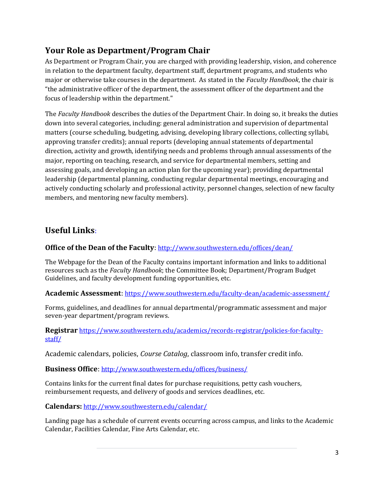# <span id="page-2-0"></span>**Your Role as Department/Program Chair**

As Department or Program Chair, you are charged with providing leadership, vision, and coherence in relation to the department faculty, department staff, department programs, and students who major or otherwise take courses in the department. As stated in the *Faculty Handbook*, the chair is "the administrative officer of the department, the assessment officer of the department and the focus of leadership within the department."

The *Faculty Handbook* describes the duties of the Department Chair. In doing so, it breaks the duties down into several categories, including: general administration and supervision of departmental matters (course scheduling, budgeting, advising, developing library collections, collecting syllabi, approving transfer credits); annual reports (developing annual statements of departmental direction, activity and growth, identifying needs and problems through annual assessments of the major, reporting on teaching, research, and service for departmental members, setting and assessing goals, and developing an action plan for the upcoming year); providing departmental leadership (departmental planning, conducting regular departmental meetings, encouraging and actively conducting scholarly and professional activity, personnel changes, selection of new faculty members, and mentoring new faculty members).

## **Useful Links**:

#### **Office of the Dean of the Faculty**: <http://www.southwestern.edu/offices/dean/>

The Webpage for the Dean of the Faculty contains important information and links to additional resources such as the *Faculty Handbook*; the Committee Book; Department/Program Budget Guidelines, and faculty development funding opportunities, etc.

#### **Academic Assessment**: <https://www.southwestern.edu/faculty-dean/academic-assessment/>

Forms, guidelines, and deadlines for annual departmental/programmatic assessment and major seven-year department/program reviews.

#### **Registrar** [https://www.southwestern.edu/academics/records-registrar/policies-for-faculty](https://www.southwestern.edu/academics/records-registrar/policies-for-faculty-staff/)[staff/](https://www.southwestern.edu/academics/records-registrar/policies-for-faculty-staff/)

Academic calendars, policies, *Course Catalog*, classroom info, transfer credit info.

#### **Business Office**: <http://www.southwestern.edu/offices/business/>

Contains links for the current final dates for purchase requisitions, petty cash vouchers, reimbursement requests, and delivery of goods and services deadlines, etc.

**Calendars:** <http://www.southwestern.edu/calendar/>

Landing page has a schedule of current events occurring across campus, and links to the Academic Calendar, Facilities Calendar, Fine Arts Calendar, etc.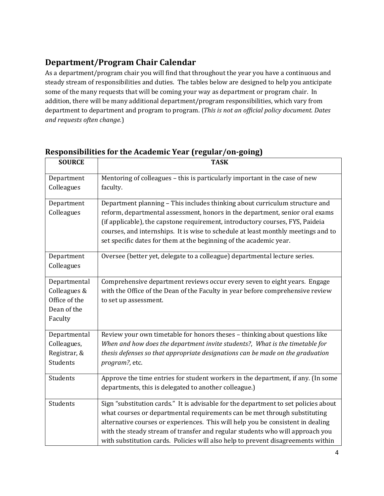# <span id="page-3-0"></span>**Department/Program Chair Calendar**

As a department/program chair you will find that throughout the year you have a continuous and steady stream of responsibilities and duties. The tables below are designed to help you anticipate some of the many requests that will be coming your way as department or program chair. In addition, there will be many additional department/program responsibilities, which vary from department to department and program to program. (*This is not an official policy document. Dates and requests often change.*)

| <b>SOURCE</b>                                                           | <b>TASK</b>                                                                                                                                                                                                                                                                                                                                                                                                              |
|-------------------------------------------------------------------------|--------------------------------------------------------------------------------------------------------------------------------------------------------------------------------------------------------------------------------------------------------------------------------------------------------------------------------------------------------------------------------------------------------------------------|
| Department<br>Colleagues                                                | Mentoring of colleagues - this is particularly important in the case of new<br>faculty.                                                                                                                                                                                                                                                                                                                                  |
| Department<br>Colleagues                                                | Department planning - This includes thinking about curriculum structure and<br>reform, departmental assessment, honors in the department, senior oral exams<br>(if applicable), the capstone requirement, introductory courses, FYS, Paideia<br>courses, and internships. It is wise to schedule at least monthly meetings and to<br>set specific dates for them at the beginning of the academic year.                  |
| Department<br>Colleagues                                                | Oversee (better yet, delegate to a colleague) departmental lecture series.                                                                                                                                                                                                                                                                                                                                               |
| Departmental<br>Colleagues &<br>Office of the<br>Dean of the<br>Faculty | Comprehensive department reviews occur every seven to eight years. Engage<br>with the Office of the Dean of the Faculty in year before comprehensive review<br>to set up assessment.                                                                                                                                                                                                                                     |
| Departmental<br>Colleagues,<br>Registrar, &<br>Students<br>Students     | Review your own timetable for honors theses - thinking about questions like<br>When and how does the department invite students?, What is the timetable for<br>thesis defenses so that appropriate designations can be made on the graduation<br>program?, etc.<br>Approve the time entries for student workers in the department, if any. (In some                                                                      |
|                                                                         | departments, this is delegated to another colleague.)                                                                                                                                                                                                                                                                                                                                                                    |
| Students                                                                | Sign "substitution cards." It is advisable for the department to set policies about<br>what courses or departmental requirements can be met through substituting<br>alternative courses or experiences. This will help you be consistent in dealing<br>with the steady stream of transfer and regular students who will approach you<br>with substitution cards. Policies will also help to prevent disagreements within |

## **Responsibilities for the Academic Year (regular/on-going)**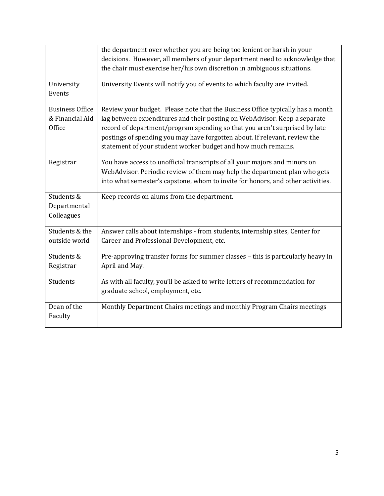|                                                     | the department over whether you are being too lenient or harsh in your<br>decisions. However, all members of your department need to acknowledge that                                                                                                                                                                                                                                    |
|-----------------------------------------------------|------------------------------------------------------------------------------------------------------------------------------------------------------------------------------------------------------------------------------------------------------------------------------------------------------------------------------------------------------------------------------------------|
|                                                     | the chair must exercise her/his own discretion in ambiguous situations.                                                                                                                                                                                                                                                                                                                  |
| University<br>Events                                | University Events will notify you of events to which faculty are invited.                                                                                                                                                                                                                                                                                                                |
| <b>Business Office</b><br>& Financial Aid<br>Office | Review your budget. Please note that the Business Office typically has a month<br>lag between expenditures and their posting on WebAdvisor. Keep a separate<br>record of department/program spending so that you aren't surprised by late<br>postings of spending you may have forgotten about. If relevant, review the<br>statement of your student worker budget and how much remains. |
| Registrar                                           | You have access to unofficial transcripts of all your majors and minors on<br>WebAdvisor. Periodic review of them may help the department plan who gets<br>into what semester's capstone, whom to invite for honors, and other activities.                                                                                                                                               |
| Students &<br>Departmental<br>Colleagues            | Keep records on alums from the department.                                                                                                                                                                                                                                                                                                                                               |
| Students & the<br>outside world                     | Answer calls about internships - from students, internship sites, Center for<br>Career and Professional Development, etc.                                                                                                                                                                                                                                                                |
| Students &<br>Registrar                             | Pre-approving transfer forms for summer classes - this is particularly heavy in<br>April and May.                                                                                                                                                                                                                                                                                        |
| Students                                            | As with all faculty, you'll be asked to write letters of recommendation for<br>graduate school, employment, etc.                                                                                                                                                                                                                                                                         |
| Dean of the<br>Faculty                              | Monthly Department Chairs meetings and monthly Program Chairs meetings                                                                                                                                                                                                                                                                                                                   |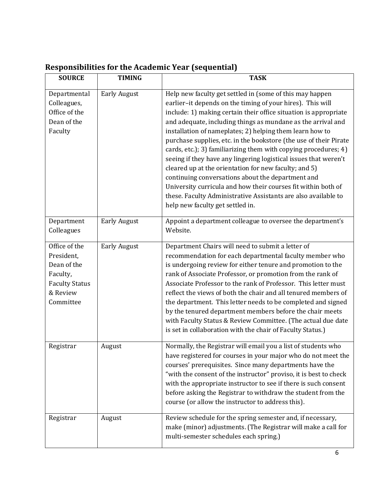| <b>SOURCE</b>                                                                                            | <b>TIMING</b>       | <b>TASK</b>                                                                                                                                                                                                                                                                                                                                                                                                                                                                                                                                                                                                                                                                                                                                                                                                             |
|----------------------------------------------------------------------------------------------------------|---------------------|-------------------------------------------------------------------------------------------------------------------------------------------------------------------------------------------------------------------------------------------------------------------------------------------------------------------------------------------------------------------------------------------------------------------------------------------------------------------------------------------------------------------------------------------------------------------------------------------------------------------------------------------------------------------------------------------------------------------------------------------------------------------------------------------------------------------------|
| Departmental<br>Colleagues,<br>Office of the<br>Dean of the<br>Faculty                                   | <b>Early August</b> | Help new faculty get settled in (some of this may happen<br>earlier-it depends on the timing of your hires). This will<br>include: 1) making certain their office situation is appropriate<br>and adequate, including things as mundane as the arrival and<br>installation of nameplates; 2) helping them learn how to<br>purchase supplies, etc. in the bookstore (the use of their Pirate<br>cards, etc.); 3) familiarizing them with copying procedures; 4)<br>seeing if they have any lingering logistical issues that weren't<br>cleared up at the orientation for new faculty; and 5)<br>continuing conversations about the department and<br>University curricula and how their courses fit within both of<br>these. Faculty Administrative Assistants are also available to<br>help new faculty get settled in. |
| Department<br>Colleagues                                                                                 | <b>Early August</b> | Appoint a department colleague to oversee the department's<br>Website.                                                                                                                                                                                                                                                                                                                                                                                                                                                                                                                                                                                                                                                                                                                                                  |
| Office of the<br>President,<br>Dean of the<br>Faculty,<br><b>Faculty Status</b><br>& Review<br>Committee | <b>Early August</b> | Department Chairs will need to submit a letter of<br>recommendation for each departmental faculty member who<br>is undergoing review for either tenure and promotion to the<br>rank of Associate Professor, or promotion from the rank of<br>Associate Professor to the rank of Professor. This letter must<br>reflect the views of both the chair and all tenured members of<br>the department. This letter needs to be completed and signed<br>by the tenured department members before the chair meets<br>with Faculty Status & Review Committee. (The actual due date<br>is set in collaboration with the chair of Faculty Status.)                                                                                                                                                                                 |
| Registrar                                                                                                | August              | Normally, the Registrar will email you a list of students who<br>have registered for courses in your major who do not meet the<br>courses' prerequisites. Since many departments have the<br>"with the consent of the instructor" proviso, it is best to check<br>with the appropriate instructor to see if there is such consent<br>before asking the Registrar to withdraw the student from the<br>course (or allow the instructor to address this).                                                                                                                                                                                                                                                                                                                                                                  |
| Registrar                                                                                                | August              | Review schedule for the spring semester and, if necessary,<br>make (minor) adjustments. (The Registrar will make a call for<br>multi-semester schedules each spring.)                                                                                                                                                                                                                                                                                                                                                                                                                                                                                                                                                                                                                                                   |

# <span id="page-5-0"></span>**Responsibilities for the Academic Year (sequential)**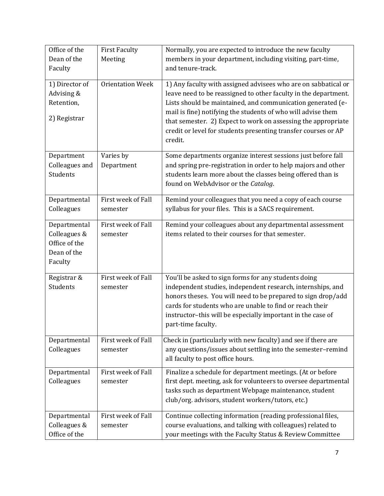| Office of the<br>Dean of the<br>Faculty<br>1) Director of | <b>First Faculty</b><br>Meeting<br><b>Orientation Week</b> | Normally, you are expected to introduce the new faculty<br>members in your department, including visiting, part-time,<br>and tenure-track.<br>1) Any faculty with assigned advisees who are on sabbatical or |
|-----------------------------------------------------------|------------------------------------------------------------|--------------------------------------------------------------------------------------------------------------------------------------------------------------------------------------------------------------|
| Advising &<br>Retention,                                  |                                                            | leave need to be reassigned to other faculty in the department.<br>Lists should be maintained, and communication generated (e-<br>mail is fine) notifying the students of who will advise them               |
| 2) Registrar                                              |                                                            | that semester. 2) Expect to work on assessing the appropriate<br>credit or level for students presenting transfer courses or AP<br>credit.                                                                   |
| Department                                                | Varies by                                                  | Some departments organize interest sessions just before fall                                                                                                                                                 |
| Colleagues and<br>Students                                | Department                                                 | and spring pre-registration in order to help majors and other<br>students learn more about the classes being offered than is<br>found on WebAdvisor or the Catalog.                                          |
|                                                           | First week of Fall                                         |                                                                                                                                                                                                              |
| Departmental<br>Colleagues                                | semester                                                   | Remind your colleagues that you need a copy of each course<br>syllabus for your files. This is a SACS requirement.                                                                                           |
| Departmental                                              | First week of Fall                                         | Remind your colleagues about any departmental assessment                                                                                                                                                     |
| Colleagues &                                              | semester                                                   | items related to their courses for that semester.                                                                                                                                                            |
| Office of the<br>Dean of the                              |                                                            |                                                                                                                                                                                                              |
| Faculty                                                   |                                                            |                                                                                                                                                                                                              |
| Registrar &                                               | First week of Fall                                         | You'll be asked to sign forms for any students doing                                                                                                                                                         |
| Students                                                  | semester                                                   | independent studies, independent research, internships, and                                                                                                                                                  |
|                                                           |                                                            | honors theses. You will need to be prepared to sign drop/add<br>cards for students who are unable to find or reach their                                                                                     |
|                                                           |                                                            | instructor-this will be especially important in the case of                                                                                                                                                  |
|                                                           |                                                            | part-time faculty.                                                                                                                                                                                           |
| Departmental                                              | First week of Fall                                         | Check in (particularly with new faculty) and see if there are                                                                                                                                                |
| Colleagues                                                | semester                                                   | any questions/issues about settling into the semester-remind<br>all faculty to post office hours.                                                                                                            |
| Departmental                                              | First week of Fall                                         | Finalize a schedule for department meetings. (At or before                                                                                                                                                   |
| Colleagues                                                | semester                                                   | first dept. meeting, ask for volunteers to oversee departmental                                                                                                                                              |
|                                                           |                                                            | tasks such as department Webpage maintenance, student<br>club/org. advisors, student workers/tutors, etc.)                                                                                                   |
| Departmental                                              | First week of Fall                                         | Continue collecting information (reading professional files,                                                                                                                                                 |
| Colleagues &                                              | semester                                                   | course evaluations, and talking with colleagues) related to                                                                                                                                                  |
| Office of the                                             |                                                            | your meetings with the Faculty Status & Review Committee                                                                                                                                                     |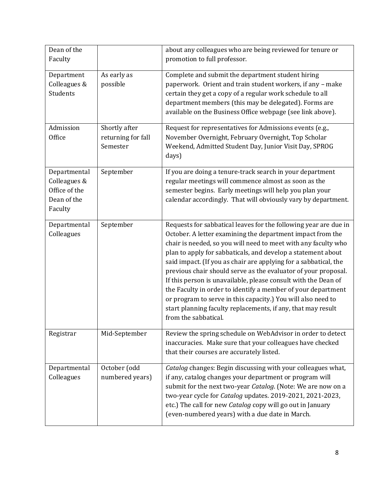| Dean of the<br>Faculty                                                  |                                                 | about any colleagues who are being reviewed for tenure or<br>promotion to full professor.                                                                                                                                                                                                                                                                                                                                                                                                                                                                                                                                                                                                        |
|-------------------------------------------------------------------------|-------------------------------------------------|--------------------------------------------------------------------------------------------------------------------------------------------------------------------------------------------------------------------------------------------------------------------------------------------------------------------------------------------------------------------------------------------------------------------------------------------------------------------------------------------------------------------------------------------------------------------------------------------------------------------------------------------------------------------------------------------------|
| Department<br>Colleagues &<br>Students                                  | As early as<br>possible                         | Complete and submit the department student hiring<br>paperwork. Orient and train student workers, if any - make<br>certain they get a copy of a regular work schedule to all<br>department members (this may be delegated). Forms are<br>available on the Business Office webpage (see link above).                                                                                                                                                                                                                                                                                                                                                                                              |
| Admission<br>Office                                                     | Shortly after<br>returning for fall<br>Semester | Request for representatives for Admissions events (e.g.,<br>November Overnight, February Overnight, Top Scholar<br>Weekend, Admitted Student Day, Junior Visit Day, SPROG<br>days)                                                                                                                                                                                                                                                                                                                                                                                                                                                                                                               |
| Departmental<br>Colleagues &<br>Office of the<br>Dean of the<br>Faculty | September                                       | If you are doing a tenure-track search in your department<br>regular meetings will commence almost as soon as the<br>semester begins. Early meetings will help you plan your<br>calendar accordingly. That will obviously vary by department.                                                                                                                                                                                                                                                                                                                                                                                                                                                    |
| Departmental<br>Colleagues                                              | September                                       | Requests for sabbatical leaves for the following year are due in<br>October. A letter examining the department impact from the<br>chair is needed, so you will need to meet with any faculty who<br>plan to apply for sabbaticals, and develop a statement about<br>said impact. (If you as chair are applying for a sabbatical, the<br>previous chair should serve as the evaluator of your proposal.<br>If this person is unavailable, please consult with the Dean of<br>the Faculty in order to identify a member of your department<br>or program to serve in this capacity.) You will also need to<br>start planning faculty replacements, if any, that may result<br>from the sabbatical. |
| Registrar                                                               | Mid-September                                   | Review the spring schedule on WebAdvisor in order to detect<br>inaccuracies. Make sure that your colleagues have checked<br>that their courses are accurately listed.                                                                                                                                                                                                                                                                                                                                                                                                                                                                                                                            |
| Departmental<br>Colleagues                                              | October (odd<br>numbered years)                 | Catalog changes: Begin discussing with your colleagues what,<br>if any, catalog changes your department or program will<br>submit for the next two-year Catalog. (Note: We are now on a<br>two-year cycle for Catalog updates. 2019-2021, 2021-2023,<br>etc.) The call for new Catalog copy will go out in January<br>(even-numbered years) with a due date in March.                                                                                                                                                                                                                                                                                                                            |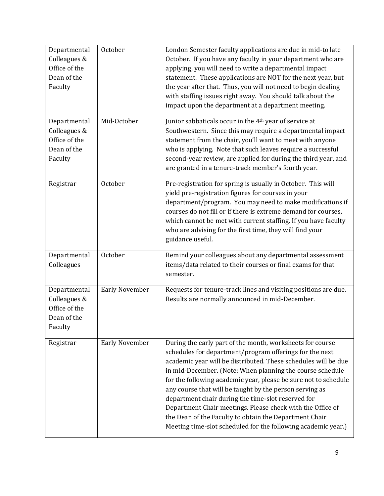| Departmental<br>Colleagues &<br>Office of the<br>Dean of the<br>Faculty | October               | London Semester faculty applications are due in mid-to late<br>October. If you have any faculty in your department who are<br>applying, you will need to write a departmental impact<br>statement. These applications are NOT for the next year, but<br>the year after that. Thus, you will not need to begin dealing<br>with staffing issues right away. You should talk about the<br>impact upon the department at a department meeting.                                                                                                                                                                                       |
|-------------------------------------------------------------------------|-----------------------|----------------------------------------------------------------------------------------------------------------------------------------------------------------------------------------------------------------------------------------------------------------------------------------------------------------------------------------------------------------------------------------------------------------------------------------------------------------------------------------------------------------------------------------------------------------------------------------------------------------------------------|
| Departmental<br>Colleagues &<br>Office of the<br>Dean of the<br>Faculty | Mid-October           | Junior sabbaticals occur in the 4 <sup>th</sup> year of service at<br>Southwestern. Since this may require a departmental impact<br>statement from the chair, you'll want to meet with anyone<br>who is applying. Note that such leaves require a successful<br>second-year review, are applied for during the third year, and<br>are granted in a tenure-track member's fourth year.                                                                                                                                                                                                                                            |
| Registrar                                                               | October               | Pre-registration for spring is usually in October. This will<br>yield pre-registration figures for courses in your<br>department/program. You may need to make modifications if<br>courses do not fill or if there is extreme demand for courses,<br>which cannot be met with current staffing. If you have faculty<br>who are advising for the first time, they will find your<br>guidance useful.                                                                                                                                                                                                                              |
| Departmental<br>Colleagues                                              | October               | Remind your colleagues about any departmental assessment<br>items/data related to their courses or final exams for that<br>semester.                                                                                                                                                                                                                                                                                                                                                                                                                                                                                             |
| Departmental<br>Colleagues &<br>Office of the<br>Dean of the<br>Faculty | <b>Early November</b> | Requests for tenure-track lines and visiting positions are due.<br>Results are normally announced in mid-December.                                                                                                                                                                                                                                                                                                                                                                                                                                                                                                               |
| Registrar                                                               | <b>Early November</b> | During the early part of the month, worksheets for course<br>schedules for department/program offerings for the next<br>academic year will be distributed. These schedules will be due<br>in mid-December. (Note: When planning the course schedule<br>for the following academic year, please be sure not to schedule<br>any course that will be taught by the person serving as<br>department chair during the time-slot reserved for<br>Department Chair meetings. Please check with the Office of<br>the Dean of the Faculty to obtain the Department Chair<br>Meeting time-slot scheduled for the following academic year.) |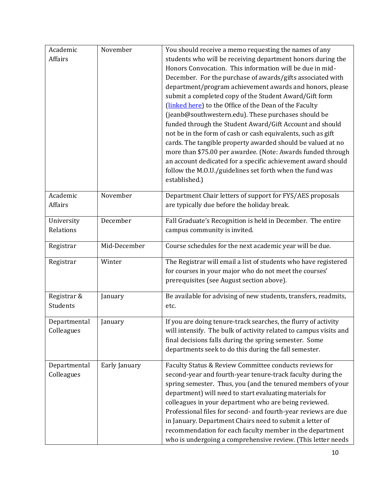| Academic     | November      | You should receive a memo requesting the names of any             |
|--------------|---------------|-------------------------------------------------------------------|
| Affairs      |               | students who will be receiving department honors during the       |
|              |               | Honors Convocation. This information will be due in mid-          |
|              |               | December. For the purchase of awards/gifts associated with        |
|              |               | department/program achievement awards and honors, please          |
|              |               | submit a completed copy of the Student Award/Gift form            |
|              |               | (linked here) to the Office of the Dean of the Faculty            |
|              |               | (jeanb@southwestern.edu). These purchases should be               |
|              |               | funded through the Student Award/Gift Account and should          |
|              |               | not be in the form of cash or cash equivalents, such as gift      |
|              |               | cards. The tangible property awarded should be valued at no       |
|              |               | more than \$75.00 per awardee. (Note: Awards funded through       |
|              |               | an account dedicated for a specific achievement award should      |
|              |               | follow the M.O.U./guidelines set forth when the fund was          |
|              |               | established.)                                                     |
|              |               |                                                                   |
| Academic     | November      | Department Chair letters of support for FYS/AES proposals         |
| Affairs      |               | are typically due before the holiday break.                       |
|              |               |                                                                   |
| University   | December      | Fall Graduate's Recognition is held in December. The entire       |
| Relations    |               | campus community is invited.                                      |
| Registrar    | Mid-December  | Course schedules for the next academic year will be due.          |
| Registrar    | Winter        | The Registrar will email a list of students who have registered   |
|              |               | for courses in your major who do not meet the courses'            |
|              |               | prerequisites (see August section above).                         |
|              |               |                                                                   |
| Registrar &  | January       | Be available for advising of new students, transfers, readmits,   |
| Students     |               | etc.                                                              |
| Departmental | January       | If you are doing tenure-track searches, the flurry of activity    |
| Colleagues   |               | will intensify. The bulk of activity related to campus visits and |
|              |               | final decisions falls during the spring semester. Some            |
|              |               | departments seek to do this during the fall semester.             |
|              |               |                                                                   |
| Departmental | Early January | Faculty Status & Review Committee conducts reviews for            |
| Colleagues   |               | second-year and fourth-year tenure-track faculty during the       |
|              |               | spring semester. Thus, you (and the tenured members of your       |
|              |               | department) will need to start evaluating materials for           |
|              |               | colleagues in your department who are being reviewed.             |
|              |               | Professional files for second- and fourth-year reviews are due    |
|              |               | in January. Department Chairs need to submit a letter of          |
|              |               | recommendation for each faculty member in the department          |
|              |               | who is undergoing a comprehensive review. (This letter needs      |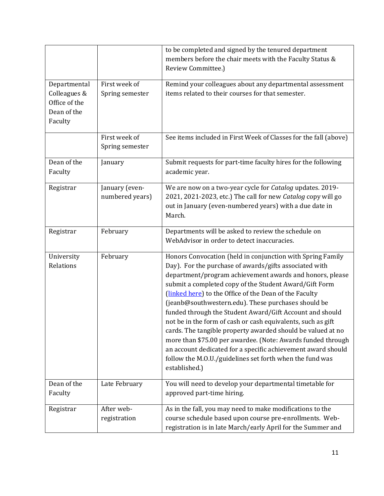|                                                                         |                                   | to be completed and signed by the tenured department<br>members before the chair meets with the Faculty Status &<br>Review Committee.)                                                                                                                                                                                                                                                                                                                                                                                                                                                                                                                                                                                                                             |
|-------------------------------------------------------------------------|-----------------------------------|--------------------------------------------------------------------------------------------------------------------------------------------------------------------------------------------------------------------------------------------------------------------------------------------------------------------------------------------------------------------------------------------------------------------------------------------------------------------------------------------------------------------------------------------------------------------------------------------------------------------------------------------------------------------------------------------------------------------------------------------------------------------|
| Departmental<br>Colleagues &<br>Office of the<br>Dean of the<br>Faculty | First week of<br>Spring semester  | Remind your colleagues about any departmental assessment<br>items related to their courses for that semester.                                                                                                                                                                                                                                                                                                                                                                                                                                                                                                                                                                                                                                                      |
|                                                                         | First week of<br>Spring semester  | See items included in First Week of Classes for the fall (above)                                                                                                                                                                                                                                                                                                                                                                                                                                                                                                                                                                                                                                                                                                   |
| Dean of the<br>Faculty                                                  | January                           | Submit requests for part-time faculty hires for the following<br>academic year.                                                                                                                                                                                                                                                                                                                                                                                                                                                                                                                                                                                                                                                                                    |
| Registrar                                                               | January (even-<br>numbered years) | We are now on a two-year cycle for Catalog updates. 2019-<br>2021, 2021-2023, etc.) The call for new Catalog copy will go<br>out in January (even-numbered years) with a due date in<br>March.                                                                                                                                                                                                                                                                                                                                                                                                                                                                                                                                                                     |
| Registrar                                                               | February                          | Departments will be asked to review the schedule on<br>WebAdvisor in order to detect inaccuracies.                                                                                                                                                                                                                                                                                                                                                                                                                                                                                                                                                                                                                                                                 |
| University<br>Relations                                                 | February                          | Honors Convocation (held in conjunction with Spring Family<br>Day). For the purchase of awards/gifts associated with<br>department/program achievement awards and honors, please<br>submit a completed copy of the Student Award/Gift Form<br>(linked here) to the Office of the Dean of the Faculty<br>(jeanb@southwestern.edu). These purchases should be<br>funded through the Student Award/Gift Account and should<br>not be in the form of cash or cash equivalents, such as gift<br>cards. The tangible property awarded should be valued at no<br>more than \$75.00 per awardee. (Note: Awards funded through<br>an account dedicated for a specific achievement award should<br>follow the M.O.U./guidelines set forth when the fund was<br>established.) |
| Dean of the<br>Faculty                                                  | Late February                     | You will need to develop your departmental timetable for<br>approved part-time hiring.                                                                                                                                                                                                                                                                                                                                                                                                                                                                                                                                                                                                                                                                             |
| Registrar                                                               | After web-<br>registration        | As in the fall, you may need to make modifications to the<br>course schedule based upon course pre-enrollments. Web-<br>registration is in late March/early April for the Summer and                                                                                                                                                                                                                                                                                                                                                                                                                                                                                                                                                                               |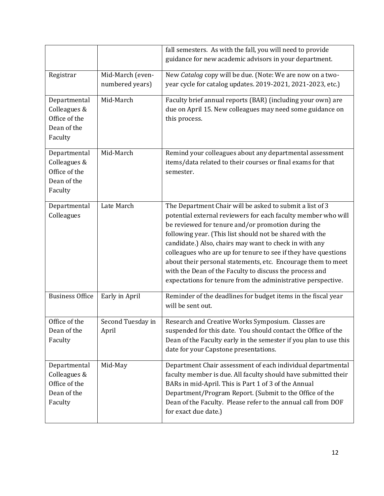|                                                                         |                                     | fall semesters. As with the fall, you will need to provide<br>guidance for new academic advisors in your department.                                                                                                                                                                                                                                                                                                                                                                                                                                               |
|-------------------------------------------------------------------------|-------------------------------------|--------------------------------------------------------------------------------------------------------------------------------------------------------------------------------------------------------------------------------------------------------------------------------------------------------------------------------------------------------------------------------------------------------------------------------------------------------------------------------------------------------------------------------------------------------------------|
| Registrar                                                               | Mid-March (even-<br>numbered years) | New Catalog copy will be due. (Note: We are now on a two-<br>year cycle for catalog updates. 2019-2021, 2021-2023, etc.)                                                                                                                                                                                                                                                                                                                                                                                                                                           |
| Departmental<br>Colleagues &<br>Office of the<br>Dean of the<br>Faculty | Mid-March                           | Faculty brief annual reports (BAR) (including your own) are<br>due on April 15. New colleagues may need some guidance on<br>this process.                                                                                                                                                                                                                                                                                                                                                                                                                          |
| Departmental<br>Colleagues &<br>Office of the<br>Dean of the<br>Faculty | Mid-March                           | Remind your colleagues about any departmental assessment<br>items/data related to their courses or final exams for that<br>semester.                                                                                                                                                                                                                                                                                                                                                                                                                               |
| Departmental<br>Colleagues                                              | Late March                          | The Department Chair will be asked to submit a list of 3<br>potential external reviewers for each faculty member who will<br>be reviewed for tenure and/or promotion during the<br>following year. (This list should not be shared with the<br>candidate.) Also, chairs may want to check in with any<br>colleagues who are up for tenure to see if they have questions<br>about their personal statements, etc. Encourage them to meet<br>with the Dean of the Faculty to discuss the process and<br>expectations for tenure from the administrative perspective. |
| <b>Business Office</b>                                                  | Early in April                      | Reminder of the deadlines for budget items in the fiscal year<br>will be sent out.                                                                                                                                                                                                                                                                                                                                                                                                                                                                                 |
| Office of the<br>Dean of the<br>Faculty                                 | Second Tuesday in<br>April          | Research and Creative Works Symposium. Classes are<br>suspended for this date. You should contact the Office of the<br>Dean of the Faculty early in the semester if you plan to use this<br>date for your Capstone presentations.                                                                                                                                                                                                                                                                                                                                  |
| Departmental<br>Colleagues &<br>Office of the<br>Dean of the<br>Faculty | Mid-May                             | Department Chair assessment of each individual departmental<br>faculty member is due. All faculty should have submitted their<br>BARs in mid-April. This is Part 1 of 3 of the Annual<br>Department/Program Report. (Submit to the Office of the<br>Dean of the Faculty. Please refer to the annual call from DOF<br>for exact due date.)                                                                                                                                                                                                                          |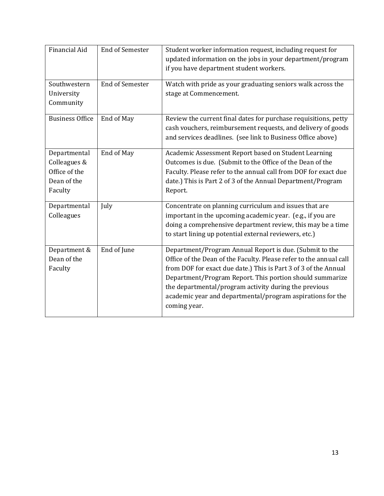| <b>Financial Aid</b>                                                    | <b>End of Semester</b> | Student worker information request, including request for<br>updated information on the jobs in your department/program<br>if you have department student workers.                                                                                                                                                                                                                                  |
|-------------------------------------------------------------------------|------------------------|-----------------------------------------------------------------------------------------------------------------------------------------------------------------------------------------------------------------------------------------------------------------------------------------------------------------------------------------------------------------------------------------------------|
| Southwestern<br>University<br>Community                                 | <b>End of Semester</b> | Watch with pride as your graduating seniors walk across the<br>stage at Commencement.                                                                                                                                                                                                                                                                                                               |
| <b>Business Office</b>                                                  | End of May             | Review the current final dates for purchase requisitions, petty<br>cash vouchers, reimbursement requests, and delivery of goods<br>and services deadlines. (see link to Business Office above)                                                                                                                                                                                                      |
| Departmental<br>Colleagues &<br>Office of the<br>Dean of the<br>Faculty | End of May             | Academic Assessment Report based on Student Learning<br>Outcomes is due. (Submit to the Office of the Dean of the<br>Faculty. Please refer to the annual call from DOF for exact due<br>date.) This is Part 2 of 3 of the Annual Department/Program<br>Report.                                                                                                                                      |
| Departmental<br>Colleagues                                              | July                   | Concentrate on planning curriculum and issues that are<br>important in the upcoming academic year. (e.g., if you are<br>doing a comprehensive department review, this may be a time<br>to start lining up potential external reviewers, etc.)                                                                                                                                                       |
| Department &<br>Dean of the<br>Faculty                                  | End of June            | Department/Program Annual Report is due. (Submit to the<br>Office of the Dean of the Faculty. Please refer to the annual call<br>from DOF for exact due date.) This is Part 3 of 3 of the Annual<br>Department/Program Report. This portion should summarize<br>the departmental/program activity during the previous<br>academic year and departmental/program aspirations for the<br>coming year. |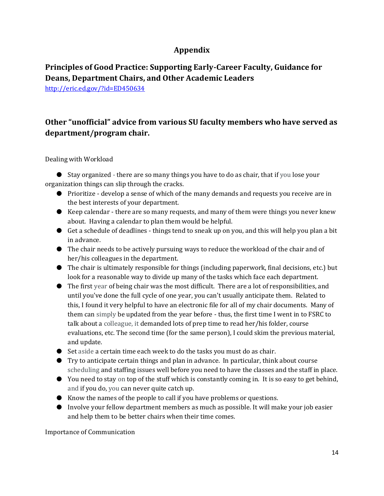## **Appendix**

## <span id="page-13-1"></span><span id="page-13-0"></span>**Principles of Good Practice: Supporting Early-Career Faculty, Guidance for Deans, Department Chairs, and Other Academic Leaders**

<http://eric.ed.gov/?id=ED450634>

## <span id="page-13-2"></span>**Other "unofficial" advice from various SU faculty members who have served as department/program chair.**

Dealing with Workload

● Stay organized - there are so many things you have to do as chair, that if you lose your organization things can slip through the cracks.

- Prioritize develop a sense of which of the many demands and requests you receive are in the best interests of your department.
- Keep calendar there are so many requests, and many of them were things you never knew about. Having a calendar to plan them would be helpful.
- Get a schedule of deadlines things tend to sneak up on you, and this will help you plan a bit in advance.
- The chair needs to be actively pursuing ways to reduce the workload of the chair and of her/his colleagues in the department.
- The chair is ultimately responsible for things (including paperwork, final decisions, etc.) but look for a reasonable way to divide up many of the tasks which face each department.
- The first year of being chair was the most difficult. There are a lot of responsibilities, and until you've done the full cycle of one year, you can't usually anticipate them. Related to this, I found it very helpful to have an electronic file for all of my chair documents. Many of them can simply be updated from the year before - thus, the first time I went in to FSRC to talk about a colleague, it demanded lots of prep time to read her/his folder, course evaluations, etc. The second time (for the same person), I could skim the previous material, and update.
- Set aside a certain time each week to do the tasks you must do as chair.
- Try to anticipate certain things and plan in advance. In particular, think about course scheduling and staffing issues well before you need to have the classes and the staff in place.
- You need to stay on top of the stuff which is constantly coming in. It is so easy to get behind, and if you do, you can never quite catch up.
- Know the names of the people to call if you have problems or questions.
- Involve your fellow department members as much as possible. It will make your job easier and help them to be better chairs when their time comes.

Importance of Communication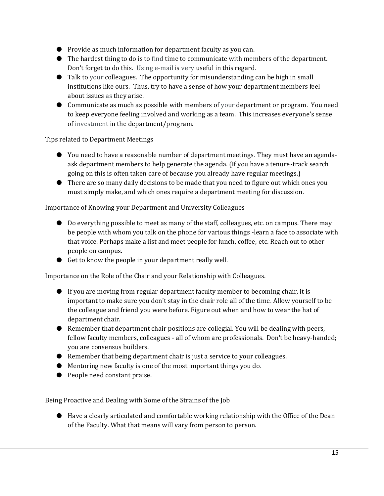- Provide as much information for department faculty as you can.
- The hardest thing to do is to find time to communicate with members of the department. Don't forget to do this. Using e-mail is very useful in this regard.
- Talk to your colleagues. The opportunity for misunderstanding can be high in small institutions like ours. Thus, try to have a sense of how your department members feel about issues as they arise.
- Communicate as much as possible with members of your department or program. You need to keep everyone feeling involved and working as a team. This increases everyone's sense of investment in the department/program.

Tips related to Department Meetings

- You need to have a reasonable number of department meetings. They must have an agendaask department members to help generate the agenda. (If you have a tenure-track search going on this is often taken care of because you already have regular meetings.)
- There are so many daily decisions to be made that you need to figure out which ones you must simply make, and which ones require a department meeting for discussion.

#### Importance of Knowing your Department and University Colleagues

- Do everything possible to meet as many of the staff, colleagues, etc. on campus. There may be people with whom you talk on the phone for various things -learn a face to associate with that voice. Perhaps make a list and meet people for lunch, coffee, etc. Reach out to other people on campus.
- Get to know the people in your department really well.

Importance on the Role of the Chair and your Relationship with Colleagues.

- If you are moving from regular department faculty member to becoming chair, it is important to make sure you don't stay in the chair role all of the time. Allow yourself to be the colleague and friend you were before. Figure out when and how to wear the hat of department chair.
- Remember that department chair positions are collegial. You will be dealing with peers, fellow faculty members, colleagues - all of whom are professionals. Don't be heavy-handed; you are consensus builders.
- Remember that being department chair is just a service to your colleagues.
- Mentoring new faculty is one of the most important things you do.
- People need constant praise.

Being Proactive and Dealing with Some of the Strains of the Job

● Have a clearly articulated and comfortable working relationship with the Office of the Dean of the Faculty. What that means will vary from person to person.